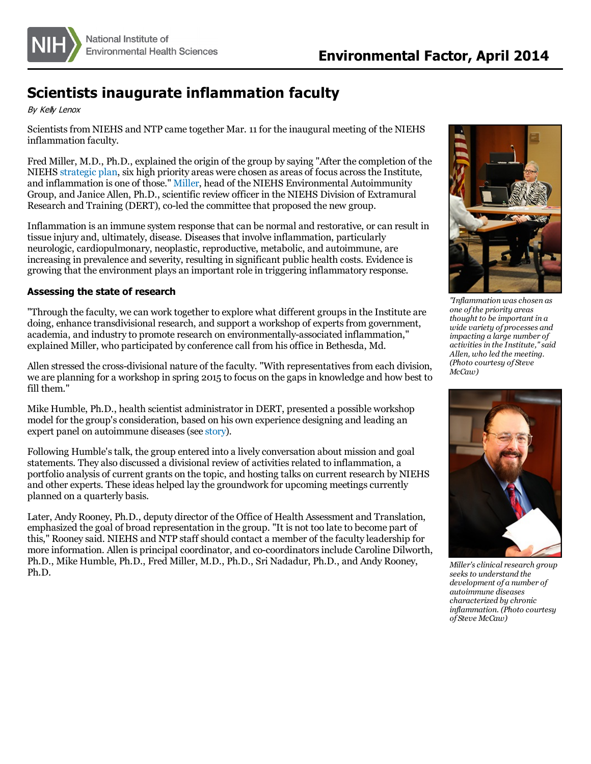

## **Scientists inaugurate inflammation faculty**

By Kely Lenox

Scientists from NIEHS and NTP came together Mar. 11 for the inaugural meeting of the NIEHS inflammation faculty.

Fred Miller, M.D., Ph.D., explained the origin of the group by saying "After the completion of the NIEHS [strategic](http://www.niehs.nih.gov/about/strategicplan/index.cfm) plan, six high priority areas were chosen as areas of focus acrossthe Institute, and inflammation is one of those." [Miller](http://www.niehs.nih.gov/research/clinical/ea/index.cfm), head of the NIEHS Environmental Autoimmunity Group, and Janice Allen, Ph.D., scientific review officer in the NIEHS Division of Extramural Research and Training (DERT), co-led the committee that proposed the new group.

Inflammation is an immune system response that can be normal and restorative, orcan result in tissue injury and, ultimately, disease. Diseasesthat involve inflammation, particularly neurologic, cardiopulmonary, neoplastic, reproductive, metabolic, and autoimmune, are increasing in prevalence and severity, resulting in significant public health costs. Evidence is growing that the environment plays an important role in triggering inflammatory response.

## **Assessing the state of research**

"Through the faculty, we can work together to explore what different groupsin the Institute are doing, enhance transdivisional research, and support a workshop of experts from government, academia, and industry to promote research on environmentally-associated inflammation," explained Miller, who participated by conference call from his office in Bethesda, Md.

Allen stressed the cross-divisional nature of the faculty. "With representativesfrom each division, we are planning for a workshop in spring 2015 to focus on the gaps in knowledge and how best to fill them."

Mike Humble, Ph.D., health scientist administrator in DERT, presented a possible workshop model for the group'sconsideration, based on his own experience designing and leading an expert panel on autoimmune diseases(see [story](http://www.niehs.nih.gov/news/newsletter/2010/october/science-autoimmunity.cfm)).

Following Humble'stalk, the group entered into a lively conversation about mission and goal statements. They also discussed a divisional review of activitiesrelated to inflammation, a portfolio analysis of current grants on the topic, and hosting talks on current research by NIEHS and other experts. These ideas helped lay the groundwork for upcoming meetings currently planned on a quarterly basis.

Later, Andy Rooney, Ph.D., deputy director of the Office of Health Assessment and Translation, emphasized the goal of broad representation in the group. "It is not too late to become part of this," Rooney said. NIEHS and NTP staff should contact a member of the faculty leadership for more information. Allen is principal coordinator, and co-coordinatorsinclude Caroline Dilworth, Ph.D., Mike Humble, Ph.D., Fred Miller, M.D., Ph.D., Sri Nadadur, Ph.D., and Andy Rooney, Ph.D.



*"Inflammation waschosen as one ofthe priority areas thought to be important in a wide variety of processes and impacting a large number of activitiesin the Institute,"said Allen, who led the meeting. (Photo courtesy of Steve McCaw)*



*Miller'sclinical research group seeksto understand the development of a number of autoimmune diseases characterized by chronic inflammation. (Photo courtesy of Steve McCaw)*